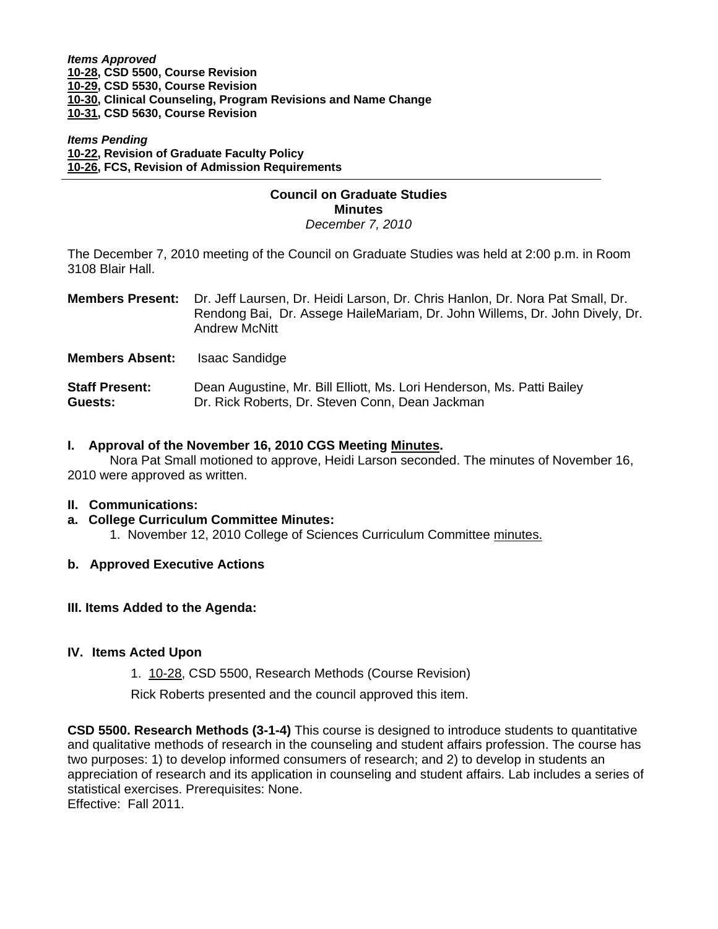#### *Items Approved*  **[10-28, C](http://www.eiu.edu/~eiucgs/currentagendaitems/agenda10-28.pdf)SD 5500, Course Revision [10-29, C](http://www.eiu.edu/~eiucgs/currentagendaitems/agenda10-29.pdf)SD 5530, Course Revision [10-30, C](http://www.eiu.edu/~eiucgs/currentagendaitems/agenda10-30.pdf)linical Counseling, Program Revisions and Name Change [10-31,](http://www.eiu.edu/~eiucgs/currentagendaitems/agenda10-31.pdf) CSD 5630, Course Revision**

#### *Items Pending* **[10-22,](http://www.eiu.edu/~eiucgs/currentagendaitems/agenda10-22.pdf) Revision of Graduate Faculty Policy [10-26, F](http://www.eiu.edu/~eiucgs/currentagendaitems/agenda10-26.pdf)CS, Revision of Admission Requirements**

#### **Council on Graduate Studies Minutes**  *December 7, 2010*

The December 7, 2010 meeting of the Council on Graduate Studies was held at 2:00 p.m. in Room 3108 Blair Hall.

| Members Present: Dr. Jeff Laursen, Dr. Heidi Larson, Dr. Chris Hanlon, Dr. Nora Pat Small, Dr.<br>Rendong Bai, Dr. Assege HaileMariam, Dr. John Willems, Dr. John Dively, Dr.<br><b>Andrew McNitt</b> |
|-------------------------------------------------------------------------------------------------------------------------------------------------------------------------------------------------------|
|                                                                                                                                                                                                       |

**Members Absent:** Isaac Sandidge

**Staff Present:** Dean Augustine, Mr. Bill Elliott, Ms. Lori Henderson, Ms. Patti Bailey **Guests:** Dr. Rick Roberts, Dr. Steven Conn, Dean Jackman

#### **I. Approval of the November 16, 2010 CGS Meetin[g Minutes.](http://castle.eiu.edu/~eiucgs/currentminutes/Minutes11-16-10.pdf)**

 Nora Pat Small motioned to approve, Heidi Larson seconded. The minutes of November 16, 2010 were approved as written.

# **II. Communications:**

**a. College Curriculum Committee Minutes:** 

1. November 12, 2010 College of Sciences Curriculum Committe[e minutes.](http://www.eiu.edu/~eiucgs/currentagendaitems/COSMin11-12-10.pdf)

# **b. Approved Executive Actions**

#### **III. Items Added to the Agenda:**

# **IV. Items Acted Upon**

1. [10-28, C](http://www.eiu.edu/~eiucgs/currentagendaitems/agenda10-28.pdf)SD 5500, Research Methods (Course Revision)

Rick Roberts presented and the council approved this item.

**CSD 5500. Research Methods (3-1-4)** This course is designed to introduce students to quantitative and qualitative methods of research in the counseling and student affairs profession. The course has two purposes: 1) to develop informed consumers of research; and 2) to develop in students an appreciation of research and its application in counseling and student affairs. Lab includes a series of statistical exercises. Prerequisites: None. Effective: Fall 2011.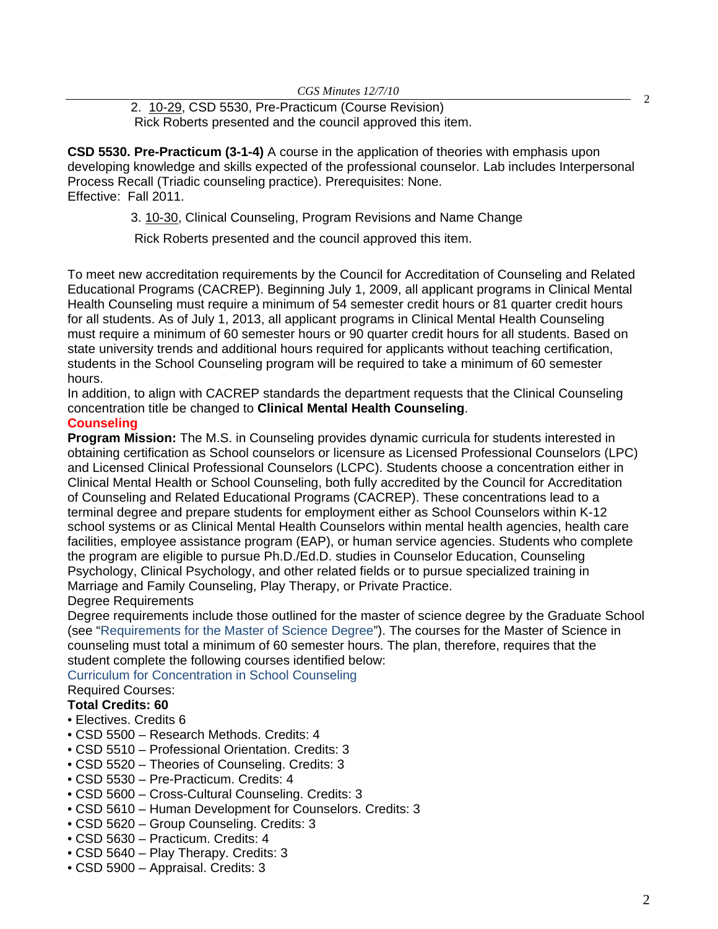2. [10-29,](http://www.eiu.edu/~eiucgs/currentagendaitems/agenda10-29.pdf) CSD 5530, Pre-Practicum (Course Revision) 2 Rick Roberts presented and the council approved this item.

**CSD 5530. Pre-Practicum (3-1-4)** A course in the application of theories with emphasis upon developing knowledge and skills expected of the professional counselor. Lab includes Interpersonal Process Recall (Triadic counseling practice). Prerequisites: None. Effective: Fall 2011.

3[. 10-30,](http://www.eiu.edu/~eiucgs/currentagendaitems/agenda10-30.pdf) Clinical Counseling, Program Revisions and Name Change

Rick Roberts presented and the council approved this item.

To meet new accreditation requirements by the Council for Accreditation of Counseling and Related Educational Programs (CACREP). Beginning July 1, 2009, all applicant programs in Clinical Mental Health Counseling must require a minimum of 54 semester credit hours or 81 quarter credit hours for all students. As of July 1, 2013, all applicant programs in Clinical Mental Health Counseling must require a minimum of 60 semester hours or 90 quarter credit hours for all students. Based on state university trends and additional hours required for applicants without teaching certification, students in the School Counseling program will be required to take a minimum of 60 semester hours.

In addition, to align with CACREP standards the department requests that the Clinical Counseling concentration title be changed to **Clinical Mental Health Counseling**.

## **Counseling**

**Program Mission:** The M.S. in Counseling provides dynamic curricula for students interested in obtaining certification as School counselors or licensure as Licensed Professional Counselors (LPC) and Licensed Clinical Professional Counselors (LCPC). Students choose a concentration either in Clinical Mental Health or School Counseling, both fully accredited by the Council for Accreditation of Counseling and Related Educational Programs (CACREP). These concentrations lead to a terminal degree and prepare students for employment either as School Counselors within K-12 school systems or as Clinical Mental Health Counselors within mental health agencies, health care facilities, employee assistance program (EAP), or human service agencies. Students who complete the program are eligible to pursue Ph.D./Ed.D. studies in Counselor Education, Counseling Psychology, Clinical Psychology, and other related fields or to pursue specialized training in Marriage and Family Counseling, Play Therapy, or Private Practice. Degree Requirements

Degree requirements include those outlined for the master of science degree by the Graduate School (see "Requirements for the Master of Science Degree"). The courses for the Master of Science in counseling must total a minimum of 60 semester hours. The plan, therefore, requires that the student complete the following courses identified below:

Curriculum for Concentration in School Counseling

# Required Courses:

# **Total Credits: 60**

- Electives. Credits 6
- CSD 5500 Research Methods. Credits: 4
- CSD 5510 Professional Orientation. Credits: 3
- CSD 5520 Theories of Counseling. Credits: 3
- CSD 5530 Pre-Practicum. Credits: 4
- CSD 5600 Cross-Cultural Counseling. Credits: 3
- CSD 5610 Human Development for Counselors. Credits: 3
- CSD 5620 Group Counseling. Credits: 3
- CSD 5630 Practicum. Credits: 4
- CSD 5640 Play Therapy. Credits: 3
- CSD 5900 Appraisal. Credits: 3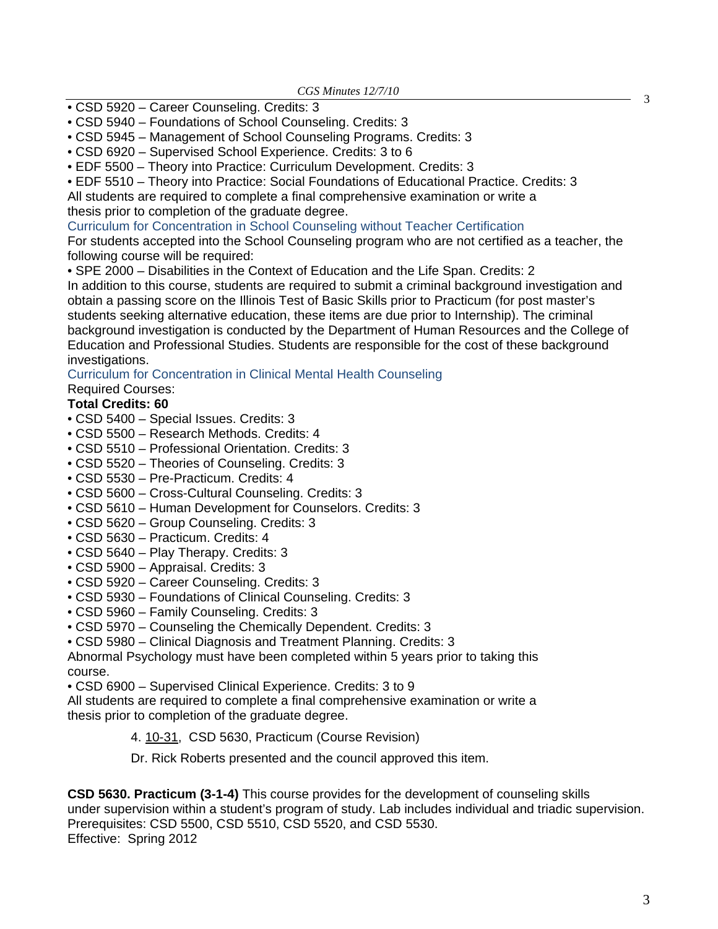- CSD 5920 Career Counseling. Credits: 3
- CSD 5940 Foundations of School Counseling. Credits: 3
- CSD 5945 Management of School Counseling Programs. Credits: 3
- CSD 6920 Supervised School Experience. Credits: 3 to 6
- EDF 5500 Theory into Practice: Curriculum Development. Credits: 3

• EDF 5510 – Theory into Practice: Social Foundations of Educational Practice. Credits: 3 All students are required to complete a final comprehensive examination or write a thesis prior to completion of the graduate degree.

Curriculum for Concentration in School Counseling without Teacher Certification

For students accepted into the School Counseling program who are not certified as a teacher, the following course will be required:

• SPE 2000 – Disabilities in the Context of Education and the Life Span. Credits: 2

In addition to this course, students are required to submit a criminal background investigation and obtain a passing score on the Illinois Test of Basic Skills prior to Practicum (for post master's students seeking alternative education, these items are due prior to Internship). The criminal background investigation is conducted by the Department of Human Resources and the College of Education and Professional Studies. Students are responsible for the cost of these background investigations.

Curriculum for Concentration in Clinical Mental Health Counseling

Required Courses:

## **Total Credits: 60**

- CSD 5400 Special Issues. Credits: 3
- CSD 5500 Research Methods. Credits: 4
- CSD 5510 Professional Orientation. Credits: 3
- CSD 5520 Theories of Counseling. Credits: 3
- CSD 5530 Pre-Practicum. Credits: 4
- CSD 5600 Cross-Cultural Counseling. Credits: 3
- CSD 5610 Human Development for Counselors. Credits: 3
- CSD 5620 Group Counseling. Credits: 3
- CSD 5630 Practicum. Credits: 4
- CSD 5640 Play Therapy. Credits: 3
- CSD 5900 Appraisal. Credits: 3
- CSD 5920 Career Counseling. Credits: 3
- CSD 5930 Foundations of Clinical Counseling. Credits: 3
- CSD 5960 Family Counseling. Credits: 3
- CSD 5970 Counseling the Chemically Dependent. Credits: 3
- CSD 5980 Clinical Diagnosis and Treatment Planning. Credits: 3

Abnormal Psychology must have been completed within 5 years prior to taking this course.

• CSD 6900 – Supervised Clinical Experience. Credits: 3 to 9

All students are required to complete a final comprehensive examination or write a thesis prior to completion of the graduate degree.

4. 10-31, CSD 5630, Practicum (Course Revision)

Dr. Rick Roberts presented and the council approved this item.

**CSD 5630. Practicum (3-1-4)** This course provides for the development of counseling skills under supervision within a student's program of study. Lab includes individual and triadic supervision. Prerequisites: CSD 5500, CSD 5510, CSD 5520, and CSD 5530. Effective: Spring 2012